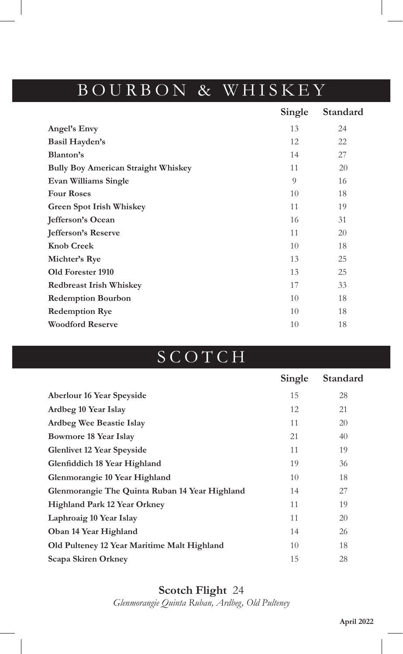### BOURBON & WHISKEY

|                                            | Single | Standard |
|--------------------------------------------|--------|----------|
| Angel's Envy                               | 13     | 24       |
| <b>Basil Hayden's</b>                      | 12     | 22       |
| Blanton's                                  | 14     | 27       |
| <b>Bully Boy American Straight Whiskey</b> | 11     | 20       |
| Evan Williams Single                       | 9      | 16       |
| <b>Four Roses</b>                          | 10     | 18       |
| Green Spot Irish Whiskey                   | 11     | 19       |
| Jefferson's Ocean                          | 16     | 31       |
| <b>Jefferson's Reserve</b>                 | 11     | 20       |
| <b>Knob Creek</b>                          | 10     | 18       |
| Michter's Rye                              | 13     | 25       |
| Old Forester 1910                          | 13     | 25       |
| <b>Redbreast Irish Whiskey</b>             | 17     | 33       |
| <b>Redemption Bourbon</b>                  | 10     | 18       |
| <b>Redemption Rye</b>                      | 10     | 18       |
| <b>Woodford Reserve</b>                    | 10     | 18       |
|                                            |        |          |

# SCOTCH

|                                                | Single | Standard |
|------------------------------------------------|--------|----------|
| Aberlour 16 Year Speyside                      | 15     | 28       |
| Ardbeg 10 Year Islay                           | 12     | 21       |
| Ardbeg Wee Beastie Islay                       | 11     | 20       |
| <b>Bowmore 18 Year Islay</b>                   | 21     | 40       |
| <b>Glenlivet 12 Year Speyside</b>              | 11     | 19       |
| Glenfiddich 18 Year Highland                   | 19     | 36       |
| Glenmorangie 10 Year Highland                  | 10     | 18       |
| Glenmorangie The Quinta Ruban 14 Year Highland | 14     | 27       |
| <b>Highland Park 12 Year Orkney</b>            | 11     | 19       |
| Laphroaig 10 Year Islay                        | 11     | 20       |
| Oban 14 Year Highland                          | 14     | 26       |
| Old Pulteney 12 Year Maritime Malt Highland    | 10     | 18       |
| Scapa Skiren Orkney                            | 15     | 28       |

#### **Scotch Flight** 24

*Glenmorangie Quinta Ruban, Ardbeg, Old Pulteney*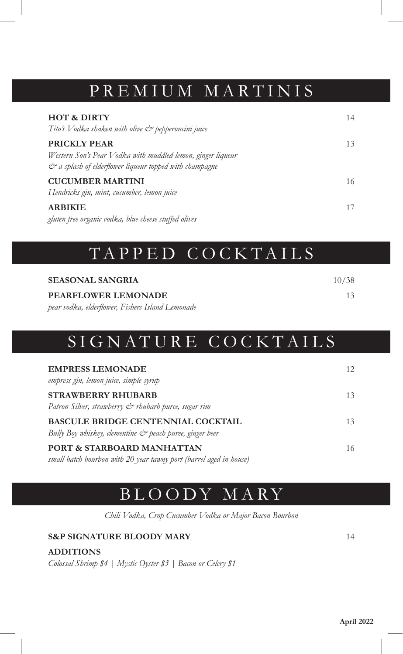#### PREMIUM MARTINIS

| <b>HOT &amp; DIRTY</b><br>Tito's Vodka shaken with olive & pepperoncini juice                                                                                            | 14 |
|--------------------------------------------------------------------------------------------------------------------------------------------------------------------------|----|
| <b>PRICKLY PEAR</b><br>Western Son's Pear Vodka with muddled lemon, ginger liqueur<br>$\dot{\mathcal{C}}^{\infty}$ a splash of elderflower liqueur topped with champagne | 13 |
| <b>CUCUMBER MARTINI</b><br>Hendricks gin, mint, cucumber, lemon juice                                                                                                    | 16 |
| <b>ARBIKIE</b><br>gluten free organic vodka, blue cheese stuffed olives                                                                                                  | 17 |

### TAPPED COCKTAILS

| <b>SEASONAL SANGRIA</b>                          | 10/38 |
|--------------------------------------------------|-------|
| PEARFLOWER LEMONADE                              | 13    |
| pear vodka, elderflower, Fishers Island Lemonade |       |

## SIGNATURE COCKTAILS

| <b>EMPRESS LEMONADE</b><br>empress gin, lemon juice, simple syrup                                                   | 12 |
|---------------------------------------------------------------------------------------------------------------------|----|
| <b>STRAWBERRY RHUBARB</b><br>Patron Silver, strawberry & rhubarb puree, sugar rim                                   | 13 |
| <b>BASCULE BRIDGE CENTENNIAL COCKTAIL</b><br>Bully Boy whiskey, clementine $\mathcal{Q}^*$ peach puree, ginger beer | 13 |
| PORT & STARBOARD MANHATTAN<br>small batch bourbon with 20 year tawny port (barrel aged in house)                    | 16 |

### BLOODY MARY

*Chili Vodka, Crop Cucumber Vodka or Major Bacon Bourbon*

#### **S&P SIGNATURE BLOODY MARY** 14

**ADDITIONS**

*Colossal Shrimp \$4 | Mystic Oyster \$3 | Bacon or Celery \$1*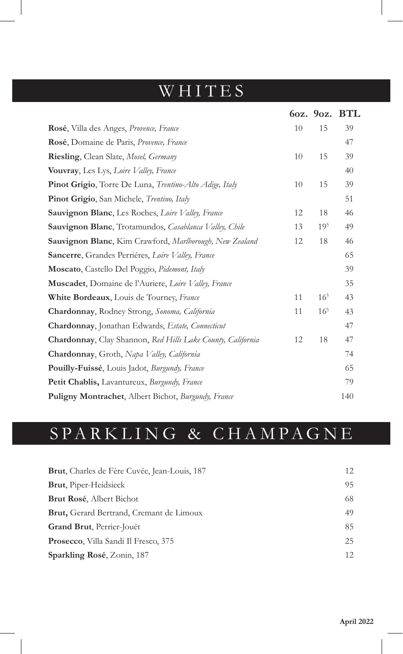# WHITES

|                                                             |    |                 | 6oz. 9oz. BTL |
|-------------------------------------------------------------|----|-----------------|---------------|
| Rosé, Villa des Anges, Provence, France                     | 10 | 15              | 39            |
| Rosé, Domaine de Paris, Provence, France                    |    |                 | 47            |
| Riesling, Clean Slate, Mosel, Germany                       | 10 | 15              | 39            |
| Vouvray, Les Lys, Loire Valley, France                      |    |                 | 40            |
| Pinot Grigio, Torre De Luna, Trentino-Alto Adige, Italy     | 10 | 15              | 39            |
| Pinot Grigio, San Michele, Trentino, Italy                  |    |                 | 51            |
| <b>Sauvignon Blanc</b> , Les Roches, Loire Valley, France   | 12 | 18              | 46            |
| Sauvignon Blanc, Trotamundos, Casablanca Valley, Chile      | 13 | 19 <sup>5</sup> | 49            |
| Sauvignon Blanc, Kim Crawford, Marlborough, New Zealand     | 12 | 18              | 46            |
| Sancerre, Grandes Perriéres, Loire Valley, France           |    |                 | 65            |
| Moscato, Castello Del Poggio, Pidemont, Italy               |    |                 | 39            |
| Muscadet, Domaine de l'Auriere, Loire Valley, France        |    |                 | 35            |
| White Bordeaux, Louis de Tourney, France                    | 11 | $16^{5}$        | 43            |
| <b>Chardonnay</b> , Rodney Strong, Sonoma, California       | 11 | $16^{5}$        | 43            |
| Chardonnay, Jonathan Edwards, Estate, Connecticut           |    |                 | 47            |
| Chardonnay, Clay Shannon, Red Hills Lake County, California | 12 | 18              | 47            |
| <b>Chardonnay</b> , Groth, Napa Valley, California          |    |                 | 74            |
| Pouilly-Fuissé, Louis Jadot, Burgundy, France               |    |                 | 65            |
| Petit Chablis, Lavantureux, Burgundy, France                |    |                 | 79            |
| Puligny Montrachet, Albert Bichot, Burgundy, France         |    |                 | 140           |

# SPARKLING & CHAMPAGNE

| Brut, Charles de Fère Cuvée, Jean-Louis, 187    | 12 |
|-------------------------------------------------|----|
| <b>Brut, Piper-Heidsieck</b>                    | 95 |
| <b>Brut Rosé, Albert Bichot</b>                 | 68 |
| <b>Brut,</b> Gerard Bertrand, Cremant de Limoux | 49 |
| <b>Grand Brut, Perrier-Jouët</b>                | 85 |
| <b>Prosecco, Villa Sandi Il Fresco, 375</b>     | 25 |
| Sparkling Rosé, Zonin, 187                      | 12 |
|                                                 |    |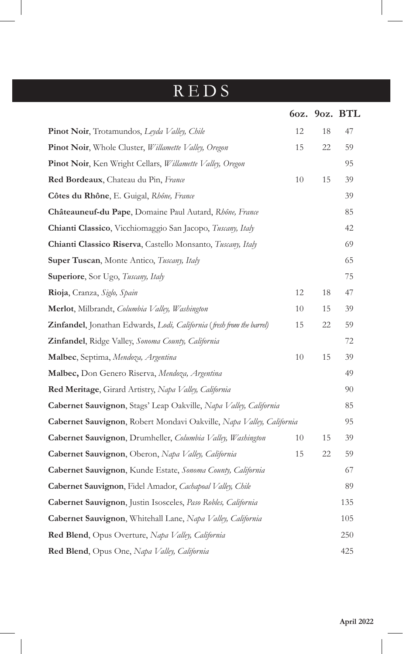## REDS

|                                                                           |    |    | 60z. 90z. BTL |
|---------------------------------------------------------------------------|----|----|---------------|
| Pinot Noir, Trotamundos, Leyda Valley, Chile                              | 12 | 18 | 47            |
| Pinot Noir, Whole Cluster, Willamette Valley, Oregon                      | 15 | 22 | 59            |
| <b>Pinot Noir, Ken Wright Cellars, Willamette Valley, Oregon</b>          |    |    | 95            |
| Red Bordeaux, Chateau du Pin, France                                      | 10 | 15 | 39            |
| Côtes du Rhône, E. Guigal, Rhône, France                                  |    |    | 39            |
| Châteauneuf-du Pape, Domaine Paul Autard, Rhône, France                   |    |    | 85            |
| Chianti Classico, Vicchiomaggio San Jacopo, Tuscany, Italy                |    |    | 42            |
| Chianti Classico Riserva, Castello Monsanto, Tuscany, Italy               |    |    | 69            |
| Super Tuscan, Monte Antico, Tuscany, Italy                                |    |    | 65            |
| <b>Superiore</b> , Sor Ugo, <i>Tuscany</i> , Italy                        |    |    | 75            |
| Rioja, Cranza, Siglo, Spain                                               | 12 | 18 | 47            |
| Merlot, Milbrandt, Columbia Valley, Washington                            | 10 | 15 | 39            |
| Zinfandel, Jonathan Edwards, Lodi, California (fresh from the barrel)     | 15 | 22 | 59            |
| Zinfandel, Ridge Valley, Sonoma County, California                        |    |    | 72            |
| Malbec, Septima, Mendoza, Argentina                                       | 10 | 15 | 39            |
| Malbec, Don Genero Riserva, Mendoza, Argentina                            |    |    | 49            |
| Red Meritage, Girard Artistry, Napa Valley, California                    |    |    | 90            |
| <b>Cabernet Sauvignon</b> , Stags' Leap Oakville, Napa Valley, California |    |    | 85            |
| Cabernet Sauvignon, Robert Mondavi Oakville, Napa Valley, California      |    |    | 95            |
| Cabernet Sauvignon, Drumheller, Columbia Valley, Washington               | 10 | 15 | 39            |
| Cabernet Sauvignon, Oberon, Napa Valley, California                       | 15 | 22 | 59            |
| Cabernet Sauvignon, Kunde Estate, Sonoma County, California               |    |    | 67            |
| Cabernet Sauvignon, Fidel Amador, Cachapoal Valley, Chile                 |    |    | 89            |
| Cabernet Sauvignon, Justin Isosceles, Paso Robles, California             |    |    | 135           |
| Cabernet Sauvignon, Whitehall Lane, Napa Valley, California               |    |    | 105           |
| Red Blend, Opus Overture, Napa Valley, California                         |    |    | 250           |
| Red Blend, Opus One, Napa Valley, California                              |    |    | 425           |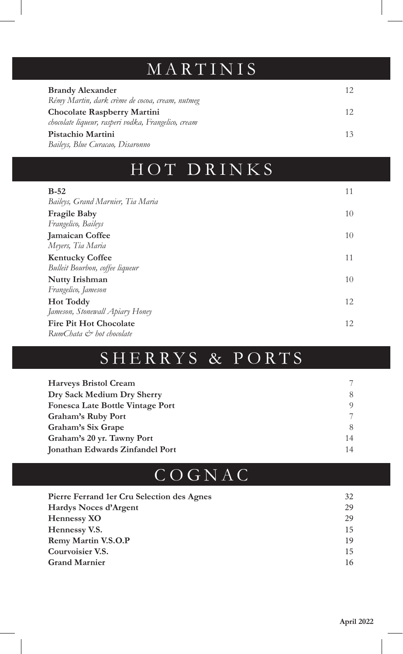# MARTINIS

| <b>Brandy Alexander</b><br>Rémy Martin, dark crème de cocoa, cream, nutmeg         |  |
|------------------------------------------------------------------------------------|--|
| Chocolate Raspberry Martini<br>chocolate liqueur, rasperi vodka, Frangelico, cream |  |
| Pistachio Martini<br>Baileys, Blue Curacao, Disaronno                              |  |

## HOT DRINKS

| $B-52$                            | 11 |
|-----------------------------------|----|
| Baileys, Grand Marnier, Tia Maria |    |
| <b>Fragile Baby</b>               | 10 |
| Frangelico, Baileys               |    |
| <b>Jamaican Coffee</b>            | 10 |
| Meyers, Tia Maria                 |    |
| <b>Kentucky Coffee</b>            | 11 |
| Bulleit Bourbon, coffee liqueur   |    |
| Nutty Irishman                    | 10 |
| Frangelico, Jameson               |    |
| <b>Hot Toddy</b>                  | 12 |
| Jameson, Stonewall Apiary Honey   |    |
| <b>Fire Pit Hot Chocolate</b>     | 12 |
| $RunChata \n\phi$ hot chocolate   |    |

# SHERRYS & PORTS

| <b>Harveys Bristol Cream</b>     |    |
|----------------------------------|----|
| Dry Sack Medium Dry Sherry       | 8  |
| Fonesca Late Bottle Vintage Port | Q  |
| Graham's Ruby Port               |    |
| Graham's Six Grape               |    |
| Graham's 20 yr. Tawny Port       | 14 |
| Jonathan Edwards Zinfandel Port  | 14 |

## COGNAC

| Pierre Ferrand 1 er Cru Selection des Agnes | 32 |
|---------------------------------------------|----|
| Hardys Noces d'Argent                       | 29 |
| Hennessy XO                                 | 29 |
| Hennessy V.S.                               | 15 |
| Remy Martin V.S.O.P                         | 19 |
| Courvoisier V.S.                            | 15 |
| <b>Grand Marnier</b>                        | 16 |